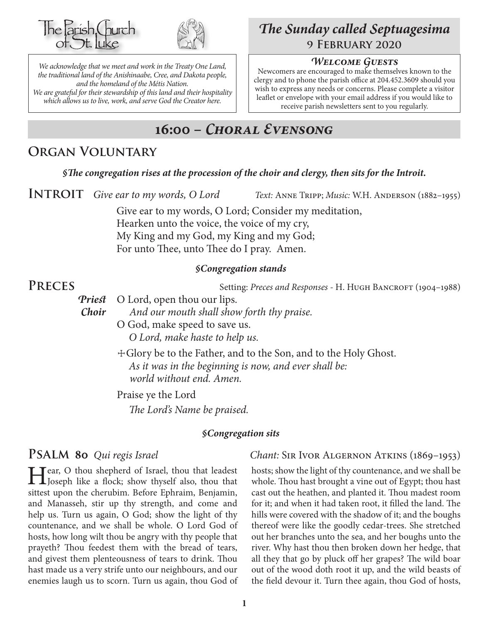



*We acknowledge that we meet and work in the Treaty One Land, the traditional land of the Anishinaabe, Cree, and Dakota people, and the homeland of the Métis Nation. We are grateful for their stewardship of this land and their hospitality which allows us to live, work, and serve God the Creator here.*

# *The Sunday called Septuagesima* **9 February 2020**

#### *Welcome Guests*

Newcomers are encouraged to make themselves known to the clergy and to phone the parish office at 204.452.3609 should you wish to express any needs or concerns. Please complete a visitor leaflet or envelope with your email address if you would like to receive parish newsletters sent to you regularly.

# **16:00 –** *Choral Evensong*

## **Organ Voluntary**

*§The congregation rises at the procession of the choir and clergy, then sits for the Introit.*

**INTROIT** Give ear to my words, O Lord *Text:* ANNE TRIPP; *Music: W.H. ANDERSON* (1882–1955)

Give ear to my words, O Lord; Consider my meditation, Hearken unto the voice, the voice of my cry, My King and my God, my King and my God; For unto Thee, unto Thee do I pray. Amen.

#### *§Congregation stands*

**PRECES** Setting: *Preces and Responses* - H. Hugh BANCROFT (1904–1988)

*Priest* O Lord, open thou our lips.

*Choir And our mouth shall show forth thy praise.*

- O God, make speed to save us. *O Lord, make haste to help us.*
- ☩Glory be to the Father, and to the Son, and to the Holy Ghost. *As it was in the beginning is now, and ever shall be: world without end. Amen.*

Praise ye the Lord *The Lord's Name be praised.*

#### *§Congregation sits*

Hear, O thou shepherd of Israel, thou that leadest<br>Joseph like a flock; show thyself also, thou that sittest upon the cherubim. Before Ephraim, Benjamin, and Manasseh, stir up thy strength, and come and help us. Turn us again, O God; show the light of thy countenance, and we shall be whole. O Lord God of hosts, how long wilt thou be angry with thy people that prayeth? Thou feedest them with the bread of tears, and givest them plenteousness of tears to drink. Thou hast made us a very strife unto our neighbours, and our enemies laugh us to scorn. Turn us again, thou God of

#### **Psalm 80** *Qui regis Israel Chant:* Sir Ivor Algernon Atkins (1869–1953)

hosts; show the light of thy countenance, and we shall be whole. Thou hast brought a vine out of Egypt; thou hast cast out the heathen, and planted it. Thou madest room for it; and when it had taken root, it filled the land. The hills were covered with the shadow of it; and the boughs thereof were like the goodly cedar-trees. She stretched out her branches unto the sea, and her boughs unto the river. Why hast thou then broken down her hedge, that all they that go by pluck off her grapes? The wild boar out of the wood doth root it up, and the wild beasts of the field devour it. Turn thee again, thou God of hosts,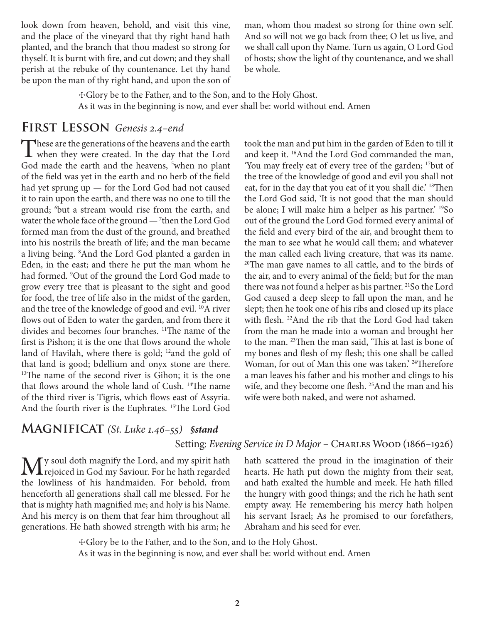look down from heaven, behold, and visit this vine, and the place of the vineyard that thy right hand hath planted, and the branch that thou madest so strong for thyself. It is burnt with fire, and cut down; and they shall perish at the rebuke of thy countenance. Let thy hand be upon the man of thy right hand, and upon the son of man, whom thou madest so strong for thine own self. And so will not we go back from thee; O let us live, and we shall call upon thy Name. Turn us again, O Lord God of hosts; show the light of thy countenance, and we shall be whole.

☩Glory be to the Father, and to the Son, and to the Holy Ghost. As it was in the beginning is now, and ever shall be: world without end. Amen

#### **First Lesson** *Genesis 2.4–end*

These are the generations of the heavens and the earth<br>when they were created. In the day that the Lord<br>Codewood the weak the local theory is how we short God made the earth and the heavens, <sup>5</sup>when no plant of the field was yet in the earth and no herb of the field had yet sprung up — for the Lord God had not caused it to rain upon the earth, and there was no one to till the ground; 6 but a stream would rise from the earth, and water the whole face of the ground — 7 then the Lord God formed man from the dust of the ground, and breathed into his nostrils the breath of life; and the man became a living being. 8 And the Lord God planted a garden in Eden, in the east; and there he put the man whom he had formed. 9 Out of the ground the Lord God made to grow every tree that is pleasant to the sight and good for food, the tree of life also in the midst of the garden, and the tree of the knowledge of good and evil. <sup>10</sup>A river flows out of Eden to water the garden, and from there it divides and becomes four branches. 11The name of the first is Pishon; it is the one that flows around the whole land of Havilah, where there is gold; <sup>12</sup>and the gold of that land is good; bdellium and onyx stone are there.  $13$ The name of the second river is Gihon; it is the one that flows around the whole land of Cush. <sup>14</sup>The name of the third river is Tigris, which flows east of Assyria. And the fourth river is the Euphrates. 15The Lord God

took the man and put him in the garden of Eden to till it and keep it. 16And the Lord God commanded the man, 'You may freely eat of every tree of the garden; 17but of the tree of the knowledge of good and evil you shall not eat, for in the day that you eat of it you shall die.' <sup>18</sup>Then the Lord God said, 'It is not good that the man should be alone; I will make him a helper as his partner.' <sup>19</sup>So out of the ground the Lord God formed every animal of the field and every bird of the air, and brought them to the man to see what he would call them; and whatever the man called each living creature, that was its name. <sup>20</sup>The man gave names to all cattle, and to the birds of the air, and to every animal of the field; but for the man there was not found a helper as his partner. <sup>21</sup>So the Lord God caused a deep sleep to fall upon the man, and he slept; then he took one of his ribs and closed up its place with flesh. 22And the rib that the Lord God had taken from the man he made into a woman and brought her to the man. 23Then the man said, 'This at last is bone of my bones and flesh of my flesh; this one shall be called Woman, for out of Man this one was taken.<sup>' 24</sup>Therefore a man leaves his father and his mother and clings to his wife, and they become one flesh. 25And the man and his wife were both naked, and were not ashamed.

#### **Magnificat** *(St. Luke 1.46–55) §stand*

#### Setting: Evening Service in D Major - CHARLES WOOD (1866-1926)

My soul doth magnify the Lord, and my spirit hath<br>the projection God my Saviour. For he hath regarded<br>the distance of his hardwards as Foundated from the lowliness of his handmaiden. For behold, from henceforth all generations shall call me blessed. For he that is mighty hath magnified me; and holy is his Name. And his mercy is on them that fear him throughout all generations. He hath showed strength with his arm; he

hath scattered the proud in the imagination of their hearts. He hath put down the mighty from their seat, and hath exalted the humble and meek. He hath filled the hungry with good things; and the rich he hath sent empty away. He remembering his mercy hath holpen his servant Israel; As he promised to our forefathers, Abraham and his seed for ever.

☩Glory be to the Father, and to the Son, and to the Holy Ghost.

As it was in the beginning is now, and ever shall be: world without end. Amen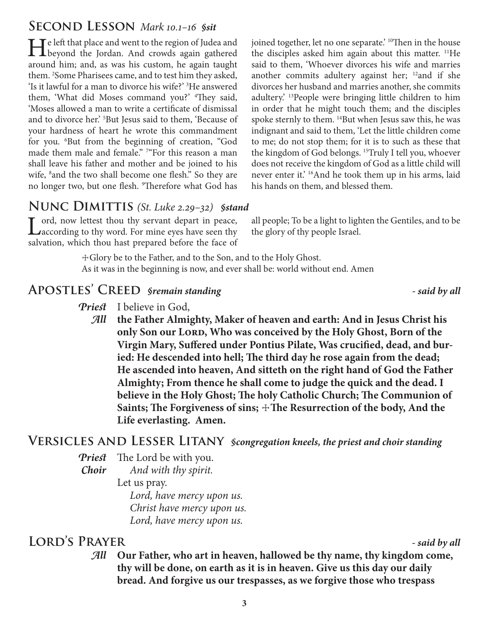# **Second Lesson** *Mark 10.1–16 §sit*

He left that place and went to the region of Judea and<br>beyond the Jordan. And crowds again gathered around him; and, as was his custom, he again taught them. 2 Some Pharisees came, and to test him they asked, 'Is it lawful for a man to divorce his wife?' 3 He answered them, 'What did Moses command you?' <sup>4</sup>They said, 'Moses allowed a man to write a certificate of dismissal and to divorce her.' 5 But Jesus said to them, 'Because of your hardness of heart he wrote this commandment for you. 6 But from the beginning of creation, "God made them male and female." 7 "For this reason a man shall leave his father and mother and be joined to his wife, <sup>8</sup> and the two shall become one flesh." So they are no longer two, but one flesh. <sup>9</sup>Therefore what God has joined together, let no one separate.<sup>' 10</sup>Then in the house the disciples asked him again about this matter. 11He said to them, 'Whoever divorces his wife and marries another commits adultery against her; <sup>12</sup>and if she divorces her husband and marries another, she commits adultery.' 13People were bringing little children to him in order that he might touch them; and the disciples spoke sternly to them. 14But when Jesus saw this, he was indignant and said to them, 'Let the little children come to me; do not stop them; for it is to such as these that the kingdom of God belongs. 15Truly I tell you, whoever does not receive the kingdom of God as a little child will never enter it.' 16And he took them up in his arms, laid his hands on them, and blessed them.

## **Nunc Dimittis** *(St. Luke 2.29–32) §stand*

Lord, now lettest thou thy servant depart in peace,<br>
Laccording to thy word. For mine eyes have seen thy salvation, which thou hast prepared before the face of

all people; To be a light to lighten the Gentiles, and to be the glory of thy people Israel.

☩Glory be to the Father, and to the Son, and to the Holy Ghost. As it was in the beginning is now, and ever shall be: world without end. Amen

# **Apostles' Creed** *§remain standing - said by all*

- *Priest* I believe in God,
	- *All* **the Father Almighty, Maker of heaven and earth: And in Jesus Christ his**  only Son our Lord, Who was conceived by the Holy Ghost, Born of the **Virgin Mary, Suffered under Pontius Pilate, Was crucified, dead, and buried: He descended into hell; The third day he rose again from the dead; He ascended into heaven, And sitteth on the right hand of God the Father Almighty; From thence he shall come to judge the quick and the dead. I believe in the Holy Ghost; The holy Catholic Church; The Communion of**  Saints; The Forgiveness of sins;  $\pm$ The Resurrection of the body, And the **Life everlasting. Amen.**

## **Versicles and Lesser Litany** *§congregation kneels, the priest and choir standing*

*Priest* The Lord be with you.

*Choir And with thy spirit.* Let us pray.  *Lord, have mercy upon us. Christ have mercy upon us. Lord, have mercy upon us.*

# **Lord's Prayer** *- said by all*

*All* **Our Father, who art in heaven, hallowed be thy name, thy kingdom come, thy will be done, on earth as it is in heaven. Give us this day our daily bread. And forgive us our trespasses, as we forgive those who trespass**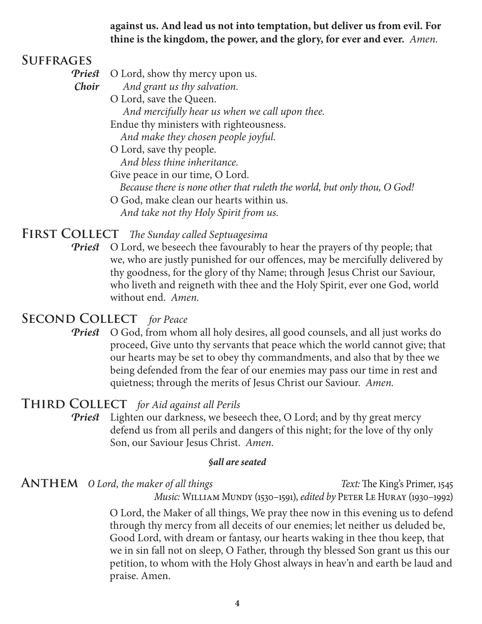**against us. And lead us not into temptation, but deliver us from evil. For thine is the kingdom, the power, and the glory, for ever and ever.** *Amen.*

### **Suffrages**

- *Priest* O Lord, show thy mercy upon us.
- *Choir And grant us thy salvation.*
	- O Lord, save the Queen.  *And mercifully hear us when we call upon thee.* Endue thy ministers with righteousness.

 *And make they chosen people joyful.*

O Lord, save thy people.

 *And bless thine inheritance.*

Give peace in our time, O Lord.

 *Because there is none other that ruleth the world, but only thou, O God!*

O God, make clean our hearts within us.  *And take not thy Holy Spirit from us.*

#### **First Collect** *The Sunday called Septuagesima*

*Priest* O Lord, we beseech thee favourably to hear the prayers of thy people; that we, who are justly punished for our offences, may be mercifully delivered by thy goodness, for the glory of thy Name; through Jesus Christ our Saviour, who liveth and reigneth with thee and the Holy Spirit, ever one God, world without end. *Amen.*

#### **Second Collect** *for Peace*

**Priest** O God, from whom all holy desires, all good counsels, and all just works do proceed, Give unto thy servants that peace which the world cannot give; that our hearts may be set to obey thy commandments, and also that by thee we being defended from the fear of our enemies may pass our time in rest and quietness; through the merits of Jesus Christ our Saviour. *Amen.*

#### **Third Collect** *for Aid against all Perils*

*Priest* Lighten our darkness, we beseech thee, O Lord; and by thy great mercy defend us from all perils and dangers of this night; for the love of thy only Son, our Saviour Jesus Christ. *Amen.*

#### *§all are seated*

**ANTHEM** *O Lord, the maker of all things Text:* The King's Primer, 1545 *Music:* WILLIAM MUNDY (1530–1591), *edited by* PETER LE HURAY (1930–1992)

> O Lord, the Maker of all things, We pray thee now in this evening us to defend through thy mercy from all deceits of our enemies; let neither us deluded be, Good Lord, with dream or fantasy, our hearts waking in thee thou keep, that we in sin fall not on sleep, O Father, through thy blessed Son grant us this our petition, to whom with the Holy Ghost always in heav'n and earth be laud and praise. Amen.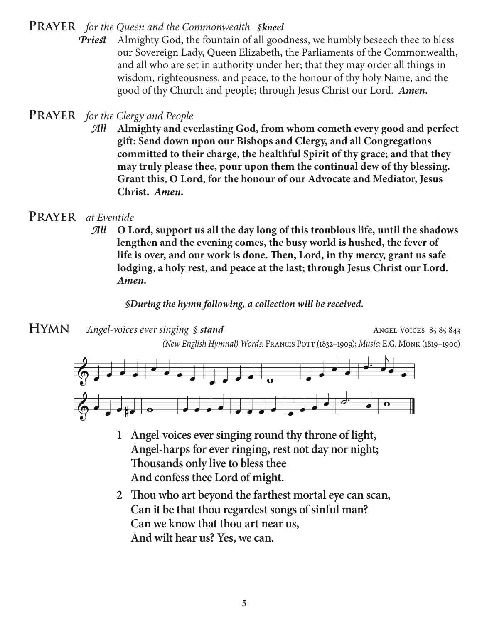**Prayer** *for the Queen and the Commonwealth §kneel*

*Priest* Almighty God, the fountain of all goodness, we humbly beseech thee to bless our Sovereign Lady, Queen Elizabeth, the Parliaments of the Commonwealth, and all who are set in authority under her; that they may order all things in wisdom, righteousness, and peace, to the honour of thy holy Name, and the good of thy Church and people; through Jesus Christ our Lord. *Amen.*

## **Prayer** *for the Clergy and People*

*All* **Almighty and everlasting God, from whom cometh every good and perfect gift: Send down upon our Bishops and Clergy, and all Congregations committed to their charge, the healthful Spirit of thy grace; and that they may truly please thee, pour upon them the continual dew of thy blessing. Grant this, O Lord, for the honour of our Advocate and Mediator, Jesus Christ.** *Amen.*

## **Prayer** *at Eventide*

*All* **O Lord, support us all the day long of this troublous life, until the shadows lengthen and the evening comes, the busy world is hushed, the fever of life is over, and our work is done. Then, Lord, in thy mercy, grant us safe lodging, a holy rest, and peace at the last; through Jesus Christ our Lord.**  *Amen.*

#### *§During the hymn following, a collection will be received.*

**HYMN** *Angel-voices ever singing § stand* Angel Voices 85 85 843

*(New English Hymnal) Words:* Francis Pott (1832–1909); *Music:* E.G. Monk (1819–1900)



- **1 Angel-voices ever singing round thy throne of light, Angel-harps for ever ringing, rest not day nor night; Thousands only live to bless thee And confess thee Lord of might.**
- **2 Thou who art beyond the farthest mortal eye can scan, Can it be that thou regardest songs of sinful man? Can we know that thou art near us, And wilt hear us? Yes, we can.**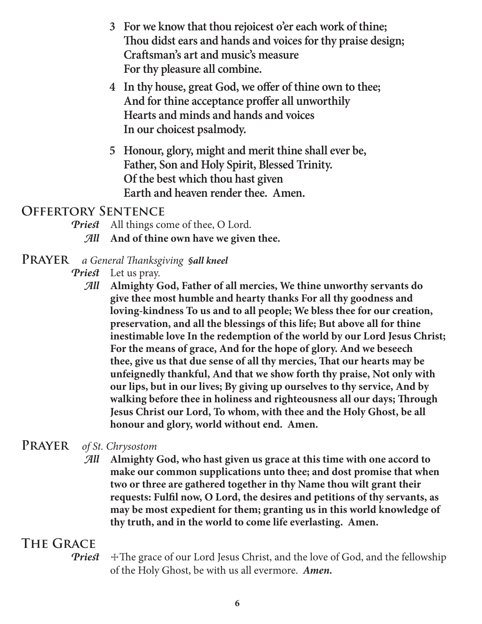- **3 For we know that thou rejoicest o'er each work of thine; Thou didst ears and hands and voices for thy praise design; Craftsman's art and music's measure For thy pleasure all combine.**
- **4 In thy house, great God, we offer of thine own to thee; And for thine acceptance proffer all unworthily Hearts and minds and hands and voices In our choicest psalmody.**
- **5 Honour, glory, might and merit thine shall ever be, Father, Son and Holy Spirit, Blessed Trinity. Of the best which thou hast given Earth and heaven render thee. Amen.**

## **Offertory Sentence**

- *Priest* All things come of thee, O Lord.
	- *All* **And of thine own have we given thee.**
- **Prayer** *a General Thanksgiving §all kneel*
	- *Priest* Let us pray.
		- *All* **Almighty God, Father of all mercies, We thine unworthy servants do give thee most humble and hearty thanks For all thy goodness and loving-kindness To us and to all people; We bless thee for our creation, preservation, and all the blessings of this life; But above all for thine inestimable love In the redemption of the world by our Lord Jesus Christ; For the means of grace, And for the hope of glory. And we beseech thee, give us that due sense of all thy mercies, That our hearts may be unfeignedly thankful, And that we show forth thy praise, Not only with our lips, but in our lives; By giving up ourselves to thy service, And by walking before thee in holiness and righteousness all our days; Through Jesus Christ our Lord, To whom, with thee and the Holy Ghost, be all honour and glory, world without end. Amen.**

## **Prayer** *of St. Chrysostom*

*All* **Almighty God, who hast given us grace at this time with one accord to make our common supplications unto thee; and dost promise that when two or three are gathered together in thy Name thou wilt grant their requests: Fulfil now, O Lord, the desires and petitions of thy servants, as may be most expedient for them; granting us in this world knowledge of thy truth, and in the world to come life everlasting. Amen.**

# **The Grace**

*Priest*  $\pm$  The grace of our Lord Jesus Christ, and the love of God, and the fellowship of the Holy Ghost, be with us all evermore. *Amen.*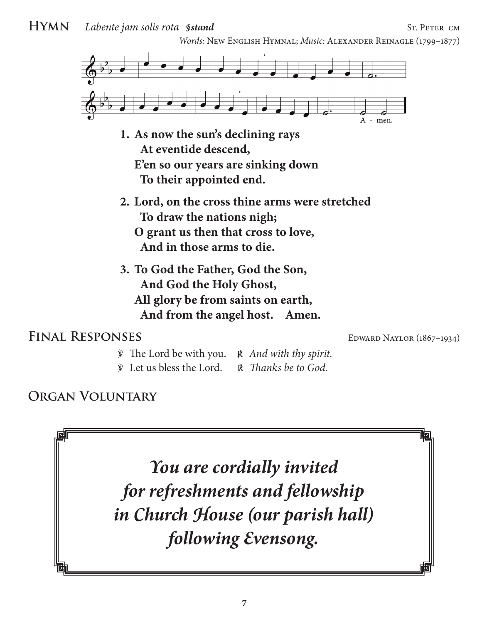**HYMN** *Labente jam solis rota §stand* ST. PETER CM

*Words:* New English Hymnal; *Music:* Alexander Reinagle (1799–1877)



- **1. As now the sun's declining rays At eventide descend, E'en so our years are sinking down To their appointed end.**
- **2. Lord, on the cross thine arms were stretched To draw the nations nigh; O grant us then that cross to love, And in those arms to die.**
- **3. To God the Father, God the Son, And God the Holy Ghost, All glory be from saints on earth, And from the angel host. Amen.**

## FINAL RESPONSES EDWARD NAYLOR (1867–1934)

- ℣ The Lord be with you. ℟ *And with thy spirit.*
- ℣ Let us bless the Lord. ℟ *Thanks be to God.*

# **Organ Voluntary**